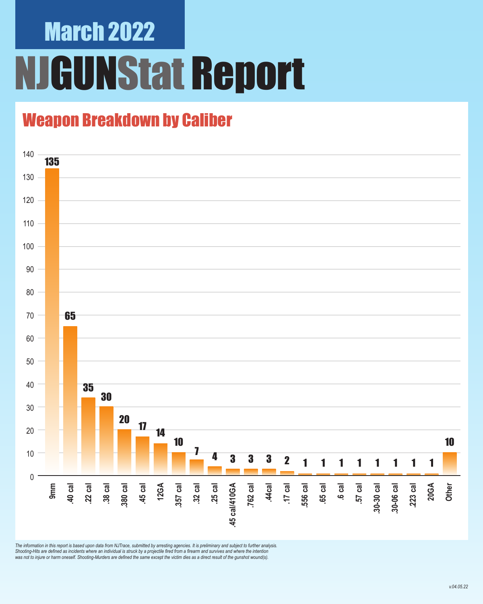### March 2022 **GUNStat Report**

### Weapon Breakdown by Caliber



*The information in this report is based upon data from NJTrace, submitted by arresting agencies. It is preliminary and subject to further analysis. Shooting-Hits are defined as incidents where an individual is struck by a projectile fired from a firearm and survives and where the intention was not to injure or harm oneself. Shooting-Murders are defined the same except the victim dies as a direct result of the gunshot wound(s).*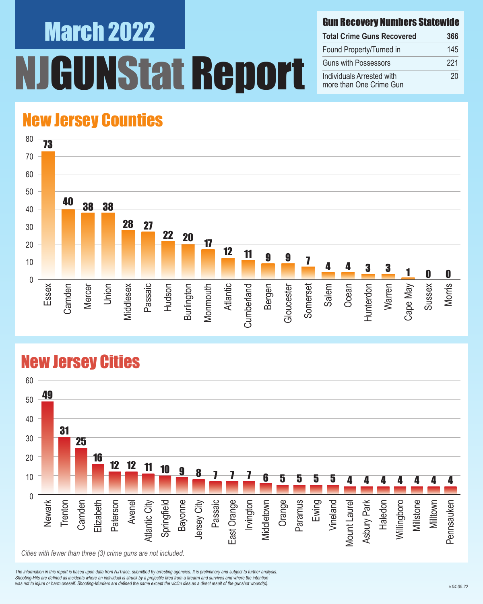# March 2022 NStat Report

#### Gun Recovery Numbers Statewide

| <b>Total Crime Guns Recovered</b>                    | 366 |
|------------------------------------------------------|-----|
| Found Property/Turned in                             | 145 |
| <b>Guns with Possessors</b>                          | 221 |
| Individuals Arrested with<br>more than One Crime Gun | 20  |

#### New Jersey Counties



#### New Jersey Cities



*The information in this report is based upon data from NJTrace, submitted by arresting agencies. It is preliminary and subject to further analysis. Shooting-Hits are defined as incidents where an individual is struck by a projectile fired from a firearm and survives and where the intention*  was not to injure or harm oneself. Shooting-Murders are defined the same except the victim dies as a direct result of the gunshot wound(s).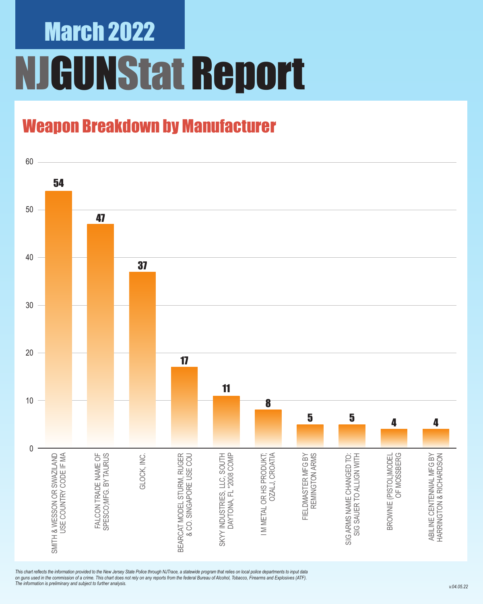### March 2022 NJGUNStat Report

### Weapon Breakdown by Manufacturer



*This chart reflects the information provided to the New Jersey State Police through NJTrace, a statewide program that relies on local police departments to input data on guns used in the commission of a crime. This chart does not rely on any reports from the federal Bureau of Alcohol, Tobacco, Firearms and Explosives (ATF). The information is preliminary and subject to further analysis.*